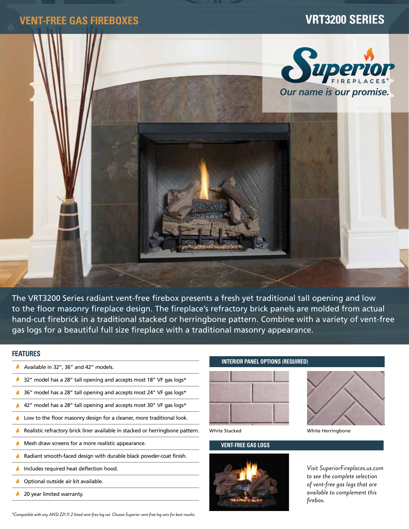# **VENT-FREE GAS FIREBOXES VRT3200 SERIES**



The VRT3200 Series radiant vent-free firebox presents a fresh yet traditional tall opening and low to the floor masonry fireplace design. The fireplace's refractory brick panels are molded from actual hand-cut firebrick in a traditional stacked or herringbone pattern. Combine with a variety of vent-free gas logs for a beautiful full size fireplace with a traditional masonry appearance.

# **FEATURES**

- Available in 32", 36" and 42" models.
- Ø. 32" model has a 28" tall opening and accepts most 18" VF gas logs\*
- 36" model has a 28" tall opening and accepts most 24" VF gas logs\*
- A. 42" model has a 28" tall opening and accepts most 30" VF gas logs\*
- **A** Low to the floor masonry design for a cleaner, more traditional look.
- Realistic refractory brick liner available in stacked or herringbone pattern. A.
- Mesh draw screens for a more realistic appearance. ø.
- Radiant smooth-faced design with durable black powder-coat finish. A.
- Includes required heat deflection hood. A
- Optional outside air kit available. A.
- 20 year limited warranty. A

## **INTERIOR PANEL OPTIONS (REQUIRED)**



## **VENT-FREE GAS LOGS**



White Stacked White Herringbone

*Visit SuperiorFireplaces.us.com to see the complete selection of vent-free gas logs that are available to complement this firebox.*

*\*Compatible with any ANSI Z21.11.2 listed vent-free log set. Choose Superior vent-free log sets for best results.*